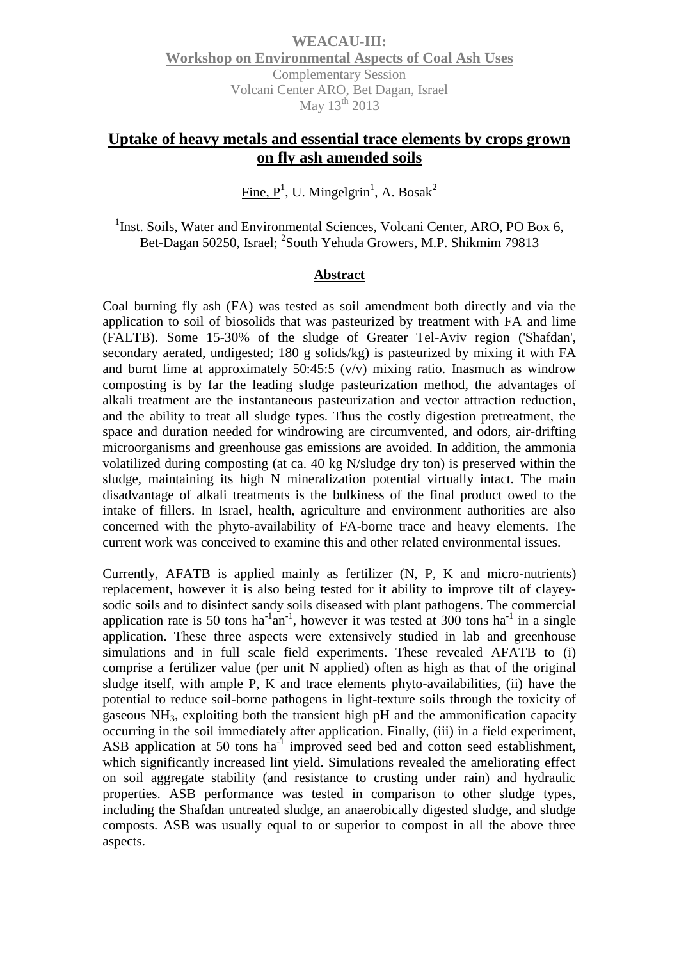**WEACAU-III: Workshop on Environmental Aspects of Coal Ash Uses** Complementary Session Volcani Center ARO, Bet Dagan, Israel May 13<sup>th</sup> 2013

## **Uptake of heavy metals and essential trace elements by crops grown on fly ash amended soils**

 $\overline{\text{Fine}}, \overline{\text{P}}^1$ , U. Mingelgrin<sup>1</sup>, A. Bosak<sup>2</sup>

<sup>1</sup>Inst. Soils, Water and Environmental Sciences, Volcani Center, ARO, PO Box 6, Bet-Dagan 50250, Israel; <sup>2</sup>South Yehuda Growers, M.P. Shikmim 79813

## **Abstract**

Coal burning fly ash (FA) was tested as soil amendment both directly and via the application to soil of biosolids that was pasteurized by treatment with FA and lime (FALTB). Some 15-30% of the sludge of Greater Tel-Aviv region ('Shafdan', secondary aerated, undigested; 180 g solids/kg) is pasteurized by mixing it with FA and burnt lime at approximately 50:45:5 (v/v) mixing ratio. Inasmuch as windrow composting is by far the leading sludge pasteurization method, the advantages of alkali treatment are the instantaneous pasteurization and vector attraction reduction, and the ability to treat all sludge types. Thus the costly digestion pretreatment, the space and duration needed for windrowing are circumvented, and odors, air-drifting microorganisms and greenhouse gas emissions are avoided. In addition, the ammonia volatilized during composting (at ca. 40 kg N/sludge dry ton) is preserved within the sludge, maintaining its high N mineralization potential virtually intact. The main disadvantage of alkali treatments is the bulkiness of the final product owed to the intake of fillers. In Israel, health, agriculture and environment authorities are also concerned with the phyto-availability of FA-borne trace and heavy elements. The current work was conceived to examine this and other related environmental issues.

Currently, AFATB is applied mainly as fertilizer (N, P, K and micro-nutrients) replacement, however it is also being tested for it ability to improve tilt of clayeysodic soils and to disinfect sandy soils diseased with plant pathogens. The commercial application rate is 50 tons ha<sup>-1</sup> an<sup>-1</sup>, however it was tested at 300 tons ha<sup>-1</sup> in a single application. These three aspects were extensively studied in lab and greenhouse simulations and in full scale field experiments. These revealed AFATB to (i) comprise a fertilizer value (per unit N applied) often as high as that of the original sludge itself, with ample P, K and trace elements phyto-availabilities, (ii) have the potential to reduce soil-borne pathogens in light-texture soils through the toxicity of gaseous NH3, exploiting both the transient high pH and the ammonification capacity occurring in the soil immediately after application. Finally, (iii) in a field experiment, ASB application at 50 tons ha<sup>-1</sup> improved seed bed and cotton seed establishment, which significantly increased lint yield. Simulations revealed the ameliorating effect on soil aggregate stability (and resistance to crusting under rain) and hydraulic properties. ASB performance was tested in comparison to other sludge types, including the Shafdan untreated sludge, an anaerobically digested sludge, and sludge composts. ASB was usually equal to or superior to compost in all the above three aspects.